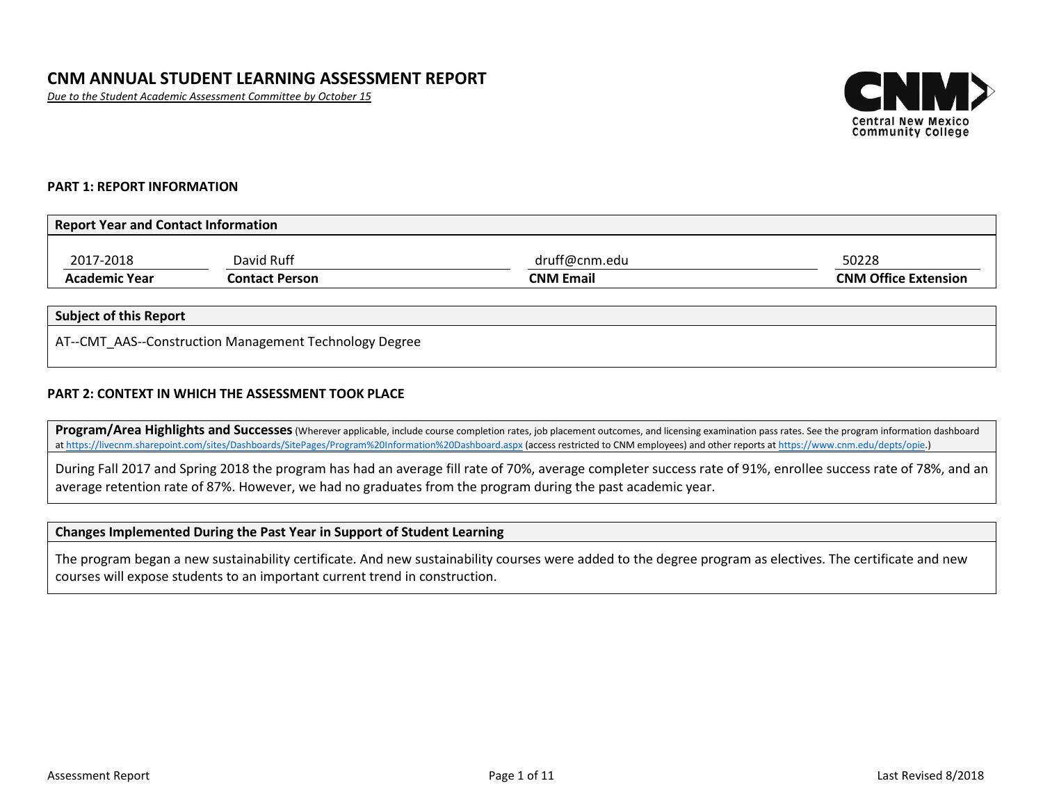# **CNM ANNUAL STUDENT LEARNING ASSESSMENT REPORT**

*Due to the Student Academic Assessment Committee by October 15*



### **PART 1: REPORT INFORMATION**

| Report Year and Contact Information |                |                  |                             |  |  |
|-------------------------------------|----------------|------------------|-----------------------------|--|--|
| 2017-2018                           | David Ruff     | druff@cnm.edu    | 50228                       |  |  |
| <b>Academic Year</b>                | Contact Person | <b>CNM Email</b> | <b>CNM Office Extension</b> |  |  |

## **Subject of this Report**

AT--CMT\_AAS--Construction Management Technology Degree

#### **PART 2: CONTEXT IN WHICH THE ASSESSMENT TOOK PLACE**

**Program/Area Highlights and Successes**(Wherever applicable, include course completion rates, job placement outcomes, and licensing examination pass rates. See the program information dashboard a[t https://livecnm.sharepoint.com/sites/Dashboards/SitePages/Program%20Information%20Dashboard.aspx](https://livecnm.sharepoint.com/sites/Dashboards/SitePages/Program%20Information%20Dashboard.aspx) (access restricted to CNM employees) and other reports at [https://www.cnm.edu/depts/opie.\)](https://www.cnm.edu/depts/opie)

During Fall 2017 and Spring 2018 the program has had an average fill rate of 70%, average completer success rate of 91%, enrollee success rate of 78%, and an average retention rate of 87%. However, we had no graduates from the program during the past academic year.

#### **Changes Implemented During the Past Year in Support of Student Learning**

The program began a new sustainability certificate. And new sustainability courses were added to the degree program as electives. The certificate and new courses will expose students to an important current trend in construction.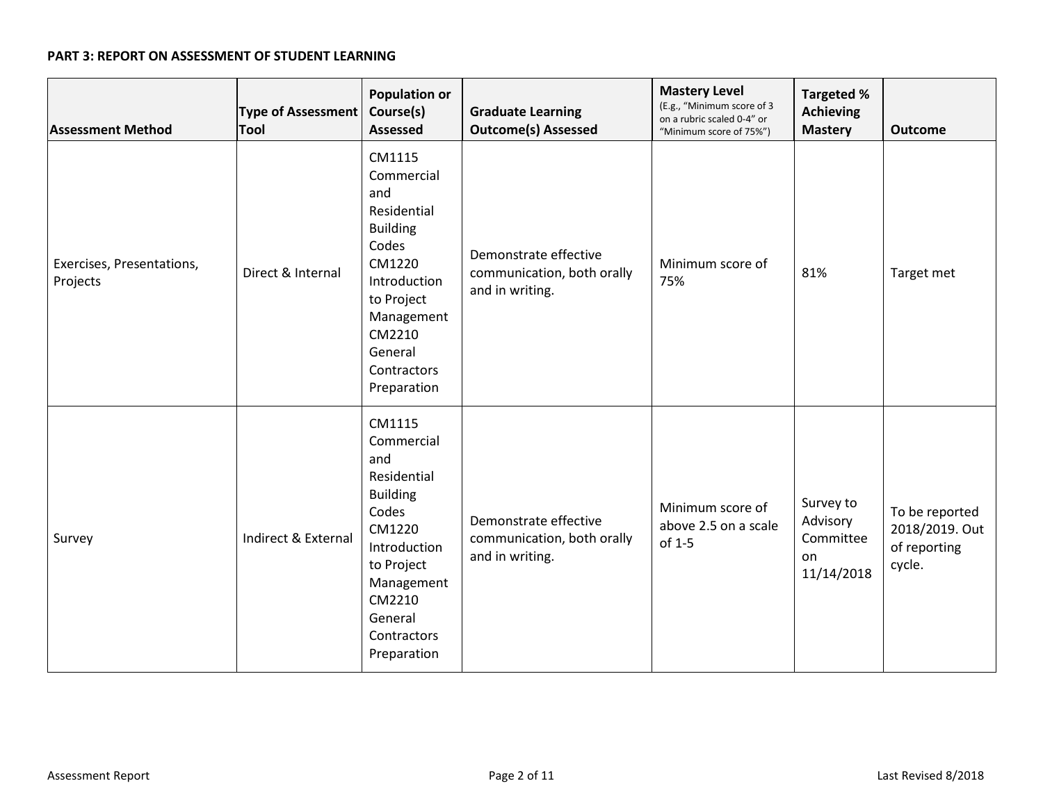## **PART 3: REPORT ON ASSESSMENT OF STUDENT LEARNING**

| <b>Assessment Method</b>              | Type of Assessment<br><b>Tool</b> | <b>Population or</b><br>Course(s)<br><b>Assessed</b>                                                                                                                            | <b>Graduate Learning</b><br><b>Outcome(s) Assessed</b>                 | <b>Mastery Level</b><br>(E.g., "Minimum score of 3<br>on a rubric scaled 0-4" or<br>"Minimum score of 75%") | <b>Targeted %</b><br><b>Achieving</b><br><b>Mastery</b> | <b>Outcome</b>                                             |
|---------------------------------------|-----------------------------------|---------------------------------------------------------------------------------------------------------------------------------------------------------------------------------|------------------------------------------------------------------------|-------------------------------------------------------------------------------------------------------------|---------------------------------------------------------|------------------------------------------------------------|
| Exercises, Presentations,<br>Projects | Direct & Internal                 | CM1115<br>Commercial<br>and<br>Residential<br><b>Building</b><br>Codes<br>CM1220<br>Introduction<br>to Project<br>Management<br>CM2210<br>General<br>Contractors<br>Preparation | Demonstrate effective<br>communication, both orally<br>and in writing. | Minimum score of<br>75%                                                                                     | 81%                                                     | Target met                                                 |
| Survey                                | Indirect & External               | CM1115<br>Commercial<br>and<br>Residential<br><b>Building</b><br>Codes<br>CM1220<br>Introduction<br>to Project<br>Management<br>CM2210<br>General<br>Contractors<br>Preparation | Demonstrate effective<br>communication, both orally<br>and in writing. | Minimum score of<br>above 2.5 on a scale<br>of 1-5                                                          | Survey to<br>Advisory<br>Committee<br>on<br>11/14/2018  | To be reported<br>2018/2019. Out<br>of reporting<br>cycle. |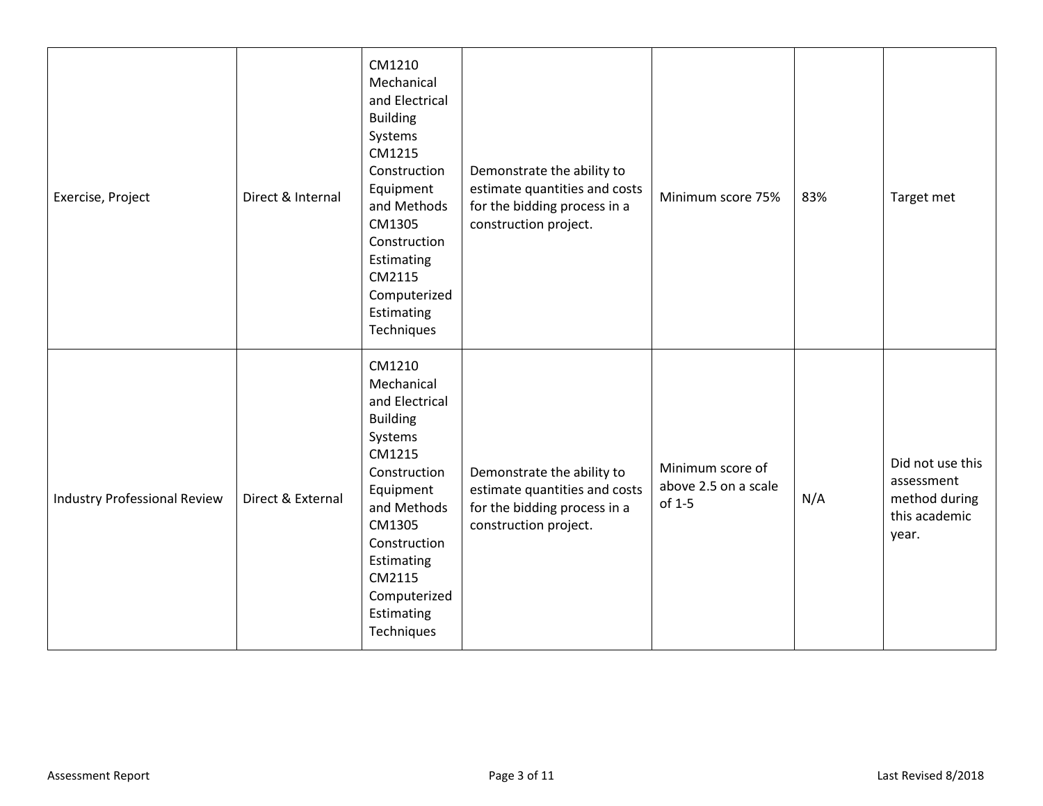| Exercise, Project                   | Direct & Internal | CM1210<br>Mechanical<br>and Electrical<br><b>Building</b><br>Systems<br>CM1215<br>Construction<br>Equipment<br>and Methods<br>CM1305<br>Construction<br>Estimating<br>CM2115<br>Computerized<br>Estimating<br>Techniques | Demonstrate the ability to<br>estimate quantities and costs<br>for the bidding process in a<br>construction project. | Minimum score 75%                                  | 83% | Target met                                                                |
|-------------------------------------|-------------------|--------------------------------------------------------------------------------------------------------------------------------------------------------------------------------------------------------------------------|----------------------------------------------------------------------------------------------------------------------|----------------------------------------------------|-----|---------------------------------------------------------------------------|
| <b>Industry Professional Review</b> | Direct & External | CM1210<br>Mechanical<br>and Electrical<br><b>Building</b><br>Systems<br>CM1215<br>Construction<br>Equipment<br>and Methods<br>CM1305<br>Construction<br>Estimating<br>CM2115<br>Computerized<br>Estimating<br>Techniques | Demonstrate the ability to<br>estimate quantities and costs<br>for the bidding process in a<br>construction project. | Minimum score of<br>above 2.5 on a scale<br>of 1-5 | N/A | Did not use this<br>assessment<br>method during<br>this academic<br>year. |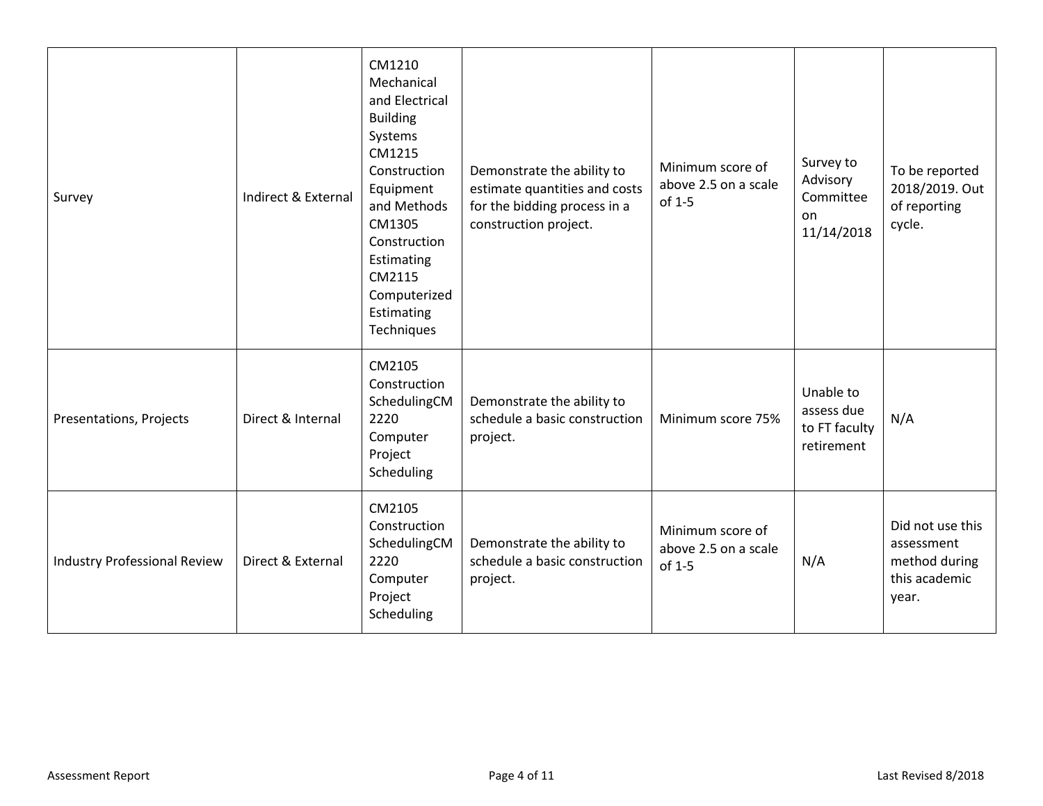| Survey                              | Indirect & External | CM1210<br>Mechanical<br>and Electrical<br><b>Building</b><br>Systems<br>CM1215<br>Construction<br>Equipment<br>and Methods<br>CM1305<br>Construction<br>Estimating<br>CM2115<br>Computerized<br>Estimating<br>Techniques | Demonstrate the ability to<br>estimate quantities and costs<br>for the bidding process in a<br>construction project. | Minimum score of<br>above 2.5 on a scale<br>of 1-5 | Survey to<br>Advisory<br>Committee<br>on<br>11/14/2018 | To be reported<br>2018/2019. Out<br>of reporting<br>cycle.                |
|-------------------------------------|---------------------|--------------------------------------------------------------------------------------------------------------------------------------------------------------------------------------------------------------------------|----------------------------------------------------------------------------------------------------------------------|----------------------------------------------------|--------------------------------------------------------|---------------------------------------------------------------------------|
| Presentations, Projects             | Direct & Internal   | CM2105<br>Construction<br>SchedulingCM<br>2220<br>Computer<br>Project<br>Scheduling                                                                                                                                      | Demonstrate the ability to<br>schedule a basic construction<br>project.                                              | Minimum score 75%                                  | Unable to<br>assess due<br>to FT faculty<br>retirement | N/A                                                                       |
| <b>Industry Professional Review</b> | Direct & External   | CM2105<br>Construction<br>SchedulingCM<br>2220<br>Computer<br>Project<br>Scheduling                                                                                                                                      | Demonstrate the ability to<br>schedule a basic construction<br>project.                                              | Minimum score of<br>above 2.5 on a scale<br>of 1-5 | N/A                                                    | Did not use this<br>assessment<br>method during<br>this academic<br>year. |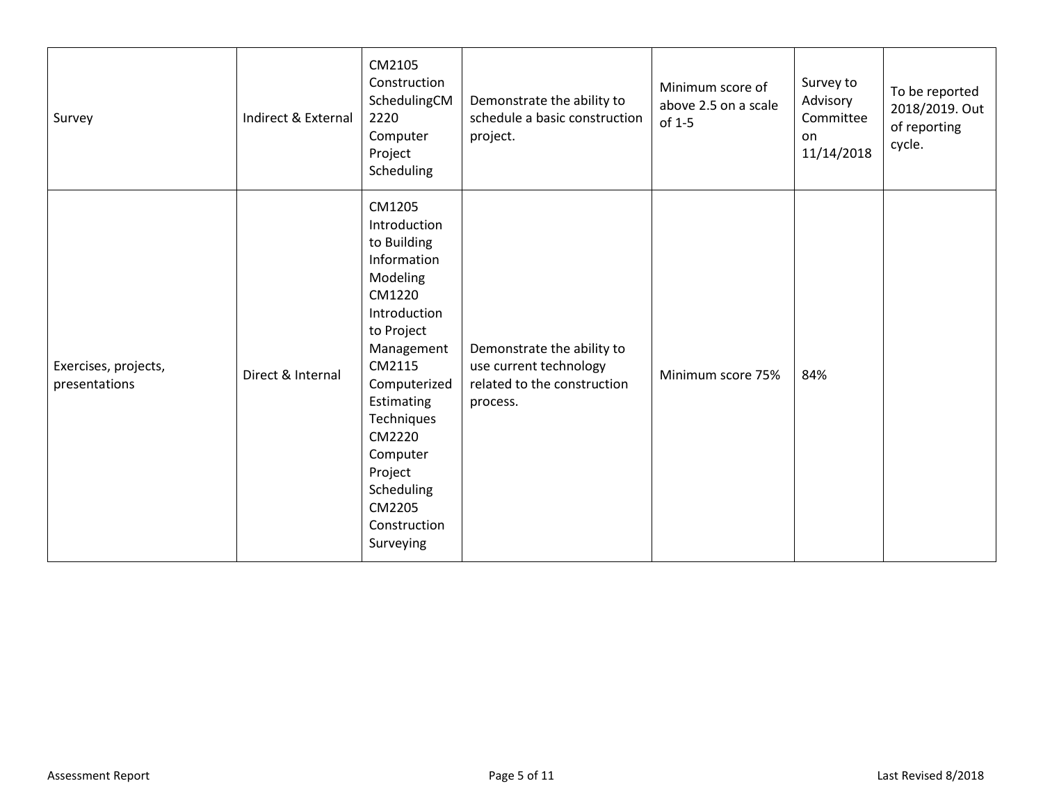| Survey                                | Indirect & External | CM2105<br>Construction<br>SchedulingCM<br>2220<br>Computer<br>Project<br>Scheduling                                                                                                                                                                                | Demonstrate the ability to<br>schedule a basic construction<br>project.                         | Minimum score of<br>above 2.5 on a scale<br>of 1-5 | Survey to<br>Advisory<br>Committee<br>on<br>11/14/2018 | To be reported<br>2018/2019. Out<br>of reporting<br>cycle. |
|---------------------------------------|---------------------|--------------------------------------------------------------------------------------------------------------------------------------------------------------------------------------------------------------------------------------------------------------------|-------------------------------------------------------------------------------------------------|----------------------------------------------------|--------------------------------------------------------|------------------------------------------------------------|
| Exercises, projects,<br>presentations | Direct & Internal   | CM1205<br>Introduction<br>to Building<br>Information<br>Modeling<br>CM1220<br>Introduction<br>to Project<br>Management<br>CM2115<br>Computerized<br>Estimating<br>Techniques<br>CM2220<br>Computer<br>Project<br>Scheduling<br>CM2205<br>Construction<br>Surveying | Demonstrate the ability to<br>use current technology<br>related to the construction<br>process. | Minimum score 75%                                  | 84%                                                    |                                                            |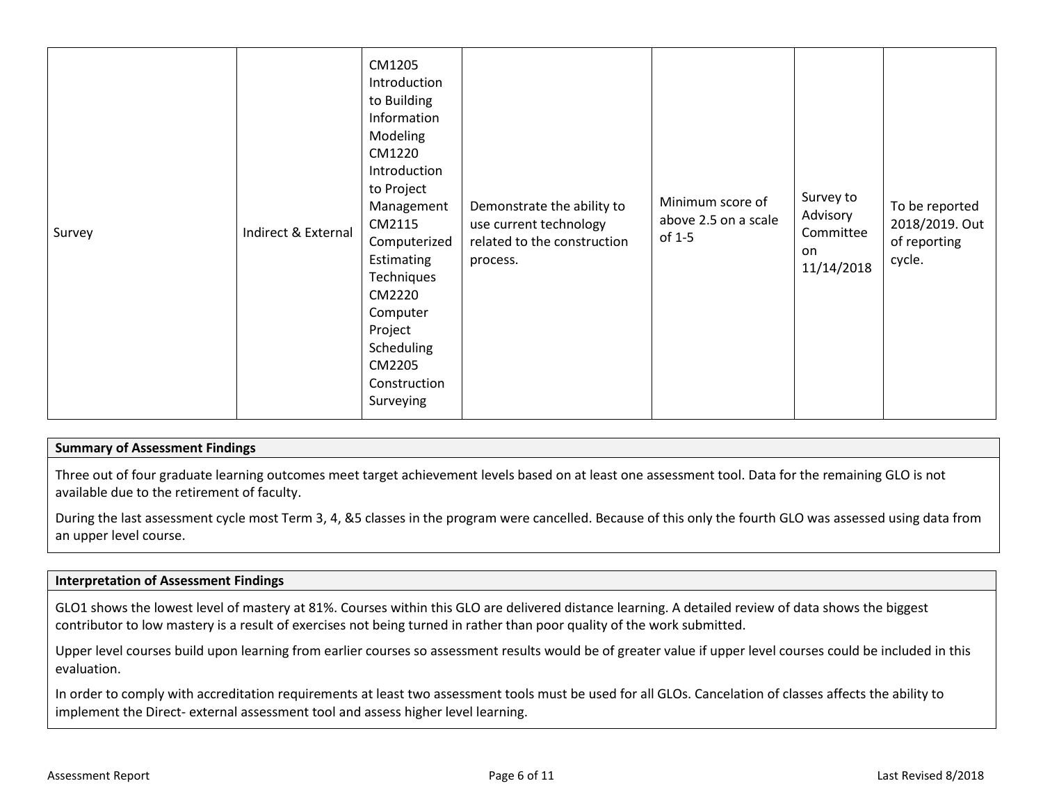| Survey | CM1205<br>Introduction<br>to Building<br>Information<br>Modeling<br>CM1220<br>Introduction<br>to Project<br>Management<br>CM2115<br>Indirect & External<br>Computerized<br>Estimating<br>Techniques<br>CM2220<br>Computer<br>Project<br>Scheduling<br>CM2205<br>Construction<br>Surveying | Demonstrate the ability to<br>use current technology<br>related to the construction<br>process. | Minimum score of<br>above 2.5 on a scale<br>of 1-5 | Survey to<br>Advisory<br>Committee<br>on<br>11/14/2018 | To be reported<br>2018/2019. Out<br>of reporting<br>cycle. |
|--------|-------------------------------------------------------------------------------------------------------------------------------------------------------------------------------------------------------------------------------------------------------------------------------------------|-------------------------------------------------------------------------------------------------|----------------------------------------------------|--------------------------------------------------------|------------------------------------------------------------|
|--------|-------------------------------------------------------------------------------------------------------------------------------------------------------------------------------------------------------------------------------------------------------------------------------------------|-------------------------------------------------------------------------------------------------|----------------------------------------------------|--------------------------------------------------------|------------------------------------------------------------|

## **Summary of Assessment Findings**

Three out of four graduate learning outcomes meet target achievement levels based on at least one assessment tool. Data for the remaining GLO is not available due to the retirement of faculty.

During the last assessment cycle most Term 3, 4, &5 classes in the program were cancelled. Because of this only the fourth GLO was assessed using data from an upper level course.

### **Interpretation of Assessment Findings**

GLO1 shows the lowest level of mastery at 81%. Courses within this GLO are delivered distance learning. A detailed review of data shows the biggest contributor to low mastery is a result of exercises not being turned in rather than poor quality of the work submitted.

Upper level courses build upon learning from earlier courses so assessment results would be of greater value if upper level courses could be included in this evaluation.

In order to comply with accreditation requirements at least two assessment tools must be used for all GLOs. Cancelation of classes affects the ability to implement the Direct- external assessment tool and assess higher level learning.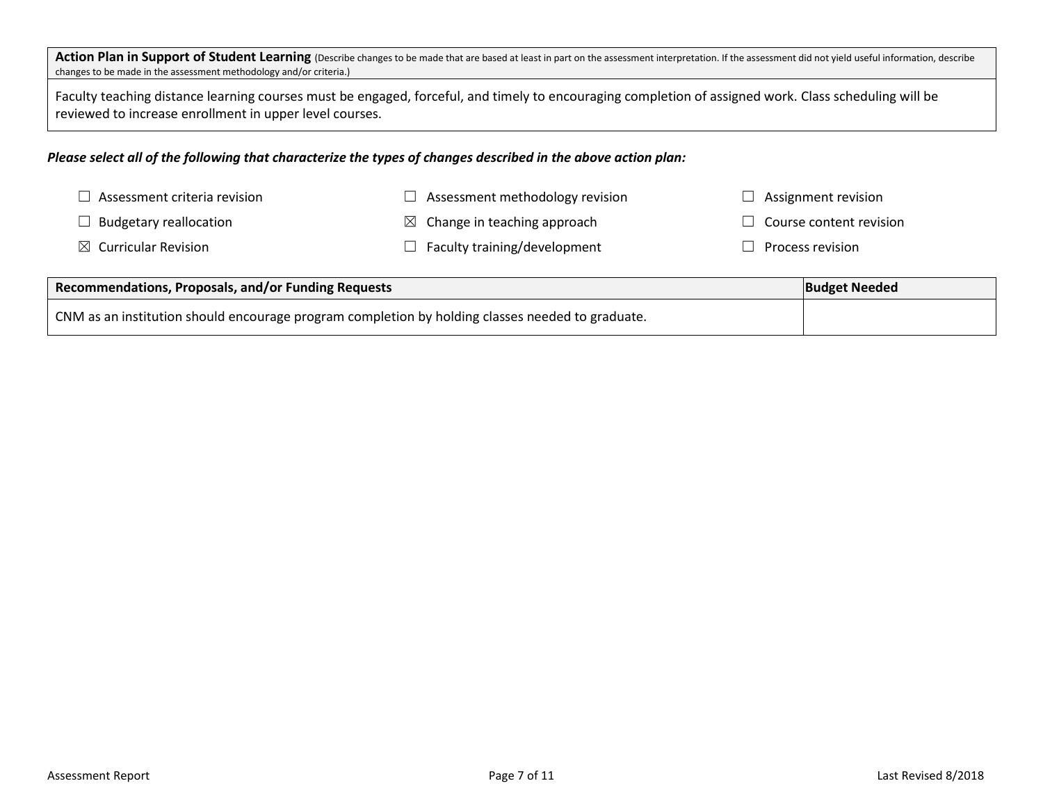Action Plan in Support of Student Learning (Describe changes to be made that are based at least in part on the assessment interpretation. If the assessment did not yield useful information, describe changes to be made in the assessment methodology and/or criteria.)

Faculty teaching distance learning courses must be engaged, forceful, and timely to encouraging completion of assigned work. Class scheduling will be reviewed to increase enrollment in upper level courses.

### *Please select all of the following that characterize the types of changes described in the above action plan:*

| $\Box$ Assessment criteria revision | $\Box$ Assessment methodology revision  | $\Box$ Assignment revision                |
|-------------------------------------|-----------------------------------------|-------------------------------------------|
| $\Box$ Budgetary reallocation       | $\boxtimes$ Change in teaching approach | $\Box$ Course content revision            |
| $\boxtimes$ Curricular Revision     | $\Box$ Faculty training/development     | $\mathrel{\mathsf{I}}$ Process revision . |

| Recommendations, Proposals, and/or Funding Requests                                              | <b>Budget Needed</b> |
|--------------------------------------------------------------------------------------------------|----------------------|
| CNM as an institution should encourage program completion by holding classes needed to graduate. |                      |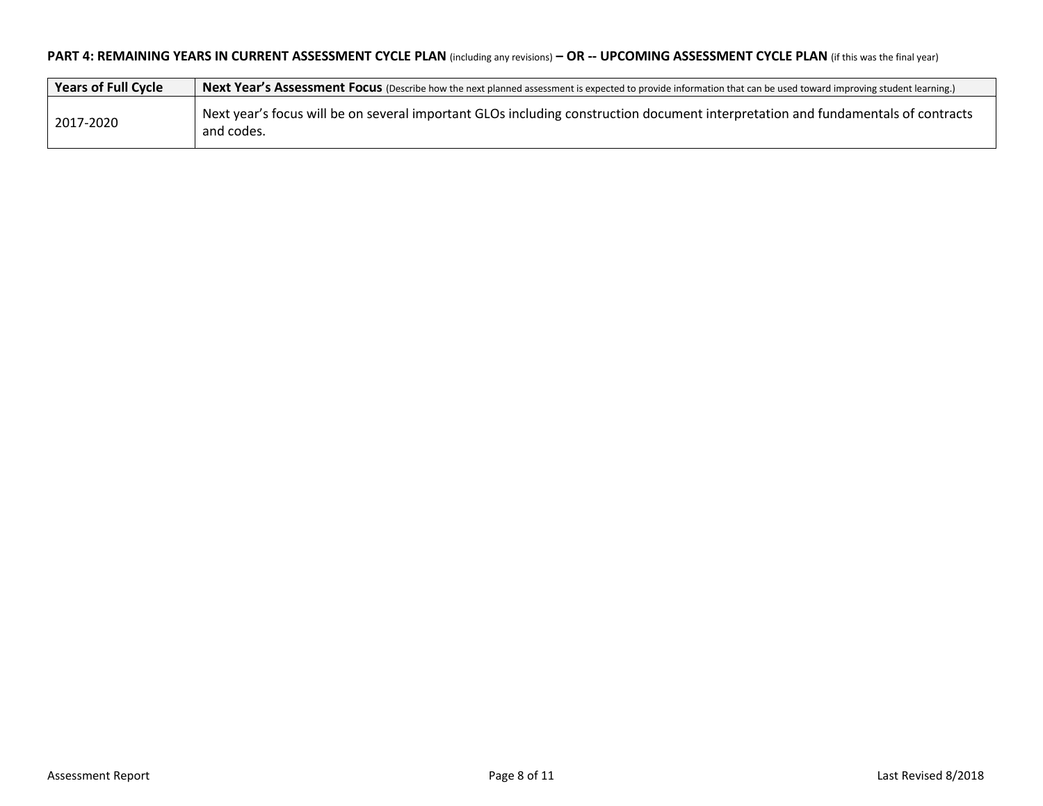## **PART 4: REMAINING YEARS IN CURRENT ASSESSMENT CYCLE PLAN** (including any revisions) **– OR -- UPCOMING ASSESSMENT CYCLE PLAN** (if this was the final year)

| Years of Full Cycle | Next Year's Assessment Focus (Describe how the next planned assessment is expected to provide information that can be used toward improving student learning.) |
|---------------------|----------------------------------------------------------------------------------------------------------------------------------------------------------------|
| 2017-2020           | Next year's focus will be on several important GLOs including construction document interpretation and fundamentals of contracts<br>and codes.                 |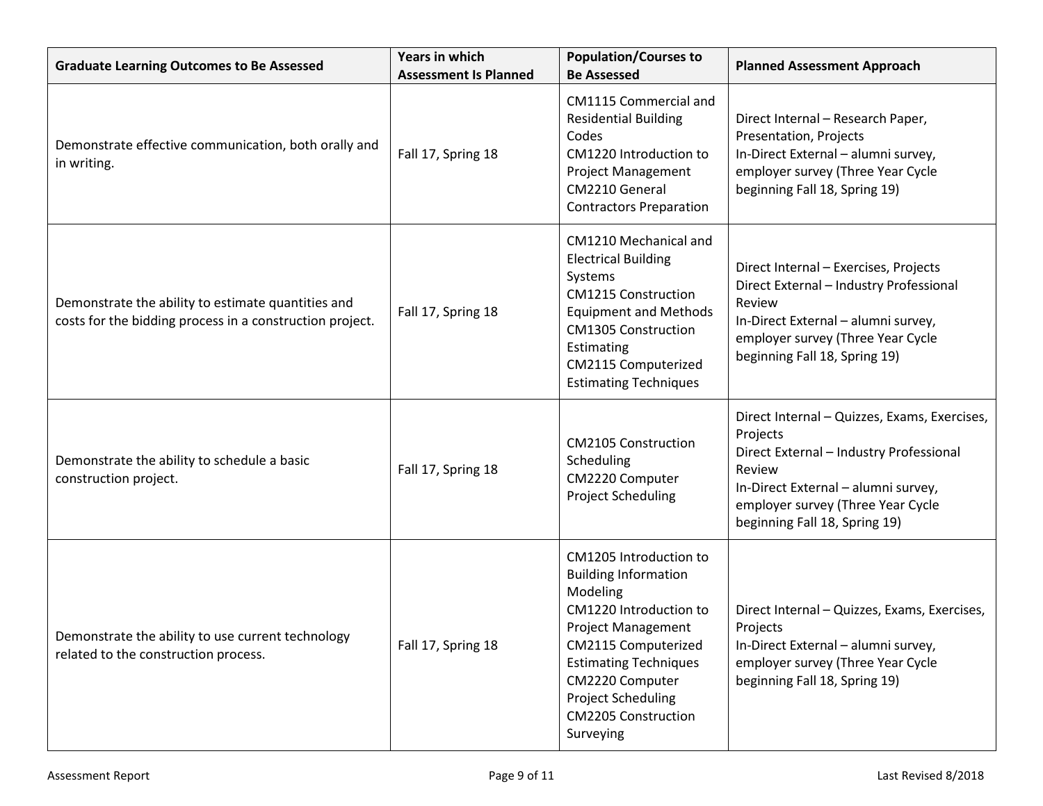| <b>Graduate Learning Outcomes to Be Assessed</b>                                                               | <b>Years in which</b><br><b>Assessment Is Planned</b> | <b>Population/Courses to</b><br><b>Be Assessed</b>                                                                                                                                                                                                                  | <b>Planned Assessment Approach</b>                                                                                                                                                                                         |
|----------------------------------------------------------------------------------------------------------------|-------------------------------------------------------|---------------------------------------------------------------------------------------------------------------------------------------------------------------------------------------------------------------------------------------------------------------------|----------------------------------------------------------------------------------------------------------------------------------------------------------------------------------------------------------------------------|
| Demonstrate effective communication, both orally and<br>in writing.                                            | Fall 17, Spring 18                                    | CM1115 Commercial and<br><b>Residential Building</b><br>Codes<br>CM1220 Introduction to<br><b>Project Management</b><br>CM2210 General<br><b>Contractors Preparation</b>                                                                                            | Direct Internal - Research Paper,<br>Presentation, Projects<br>In-Direct External - alumni survey,<br>employer survey (Three Year Cycle<br>beginning Fall 18, Spring 19)                                                   |
| Demonstrate the ability to estimate quantities and<br>costs for the bidding process in a construction project. | Fall 17, Spring 18                                    | CM1210 Mechanical and<br><b>Electrical Building</b><br>Systems<br><b>CM1215 Construction</b><br><b>Equipment and Methods</b><br><b>CM1305 Construction</b><br>Estimating<br>CM2115 Computerized<br><b>Estimating Techniques</b>                                     | Direct Internal - Exercises, Projects<br>Direct External - Industry Professional<br>Review<br>In-Direct External - alumni survey,<br>employer survey (Three Year Cycle<br>beginning Fall 18, Spring 19)                    |
| Demonstrate the ability to schedule a basic<br>construction project.                                           | Fall 17, Spring 18                                    | <b>CM2105 Construction</b><br>Scheduling<br>CM2220 Computer<br><b>Project Scheduling</b>                                                                                                                                                                            | Direct Internal - Quizzes, Exams, Exercises,<br>Projects<br>Direct External - Industry Professional<br>Review<br>In-Direct External - alumni survey,<br>employer survey (Three Year Cycle<br>beginning Fall 18, Spring 19) |
| Demonstrate the ability to use current technology<br>related to the construction process.                      | Fall 17, Spring 18                                    | CM1205 Introduction to<br><b>Building Information</b><br>Modeling<br>CM1220 Introduction to<br><b>Project Management</b><br>CM2115 Computerized<br><b>Estimating Techniques</b><br>CM2220 Computer<br>Project Scheduling<br><b>CM2205 Construction</b><br>Surveying | Direct Internal - Quizzes, Exams, Exercises,<br>Projects<br>In-Direct External - alumni survey,<br>employer survey (Three Year Cycle<br>beginning Fall 18, Spring 19)                                                      |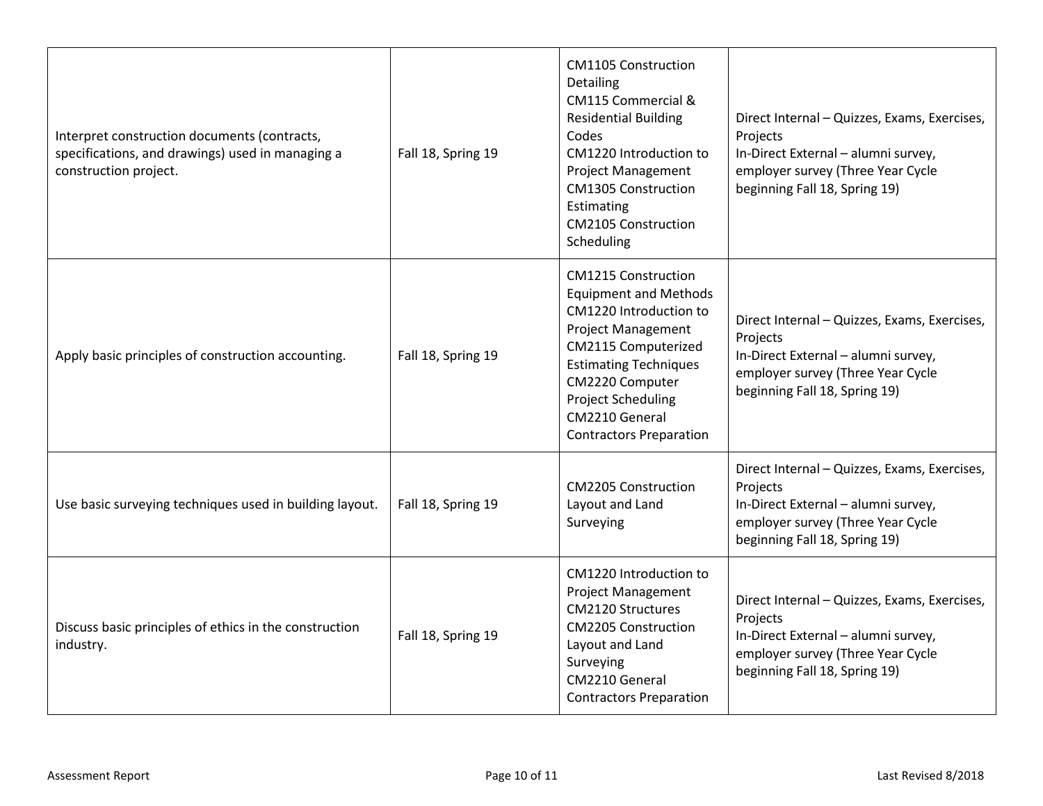| Interpret construction documents (contracts,<br>specifications, and drawings) used in managing a<br>construction project. | Fall 18, Spring 19 | <b>CM1105 Construction</b><br>Detailing<br>CM115 Commercial &<br><b>Residential Building</b><br>Codes<br>CM1220 Introduction to<br><b>Project Management</b><br><b>CM1305 Construction</b><br>Estimating<br><b>CM2105 Construction</b><br>Scheduling                         | Direct Internal - Quizzes, Exams, Exercises,<br>Projects<br>In-Direct External - alumni survey,<br>employer survey (Three Year Cycle<br>beginning Fall 18, Spring 19) |
|---------------------------------------------------------------------------------------------------------------------------|--------------------|------------------------------------------------------------------------------------------------------------------------------------------------------------------------------------------------------------------------------------------------------------------------------|-----------------------------------------------------------------------------------------------------------------------------------------------------------------------|
| Apply basic principles of construction accounting.                                                                        | Fall 18, Spring 19 | <b>CM1215 Construction</b><br><b>Equipment and Methods</b><br>CM1220 Introduction to<br><b>Project Management</b><br>CM2115 Computerized<br><b>Estimating Techniques</b><br>CM2220 Computer<br><b>Project Scheduling</b><br>CM2210 General<br><b>Contractors Preparation</b> | Direct Internal - Quizzes, Exams, Exercises,<br>Projects<br>In-Direct External - alumni survey,<br>employer survey (Three Year Cycle<br>beginning Fall 18, Spring 19) |
| Use basic surveying techniques used in building layout.                                                                   | Fall 18, Spring 19 | <b>CM2205 Construction</b><br>Layout and Land<br>Surveying                                                                                                                                                                                                                   | Direct Internal - Quizzes, Exams, Exercises,<br>Projects<br>In-Direct External - alumni survey,<br>employer survey (Three Year Cycle<br>beginning Fall 18, Spring 19) |
| Discuss basic principles of ethics in the construction<br>industry.                                                       | Fall 18, Spring 19 | CM1220 Introduction to<br>Project Management<br><b>CM2120 Structures</b><br><b>CM2205 Construction</b><br>Layout and Land<br>Surveying<br>CM2210 General<br><b>Contractors Preparation</b>                                                                                   | Direct Internal - Quizzes, Exams, Exercises,<br>Projects<br>In-Direct External - alumni survey,<br>employer survey (Three Year Cycle<br>beginning Fall 18, Spring 19) |